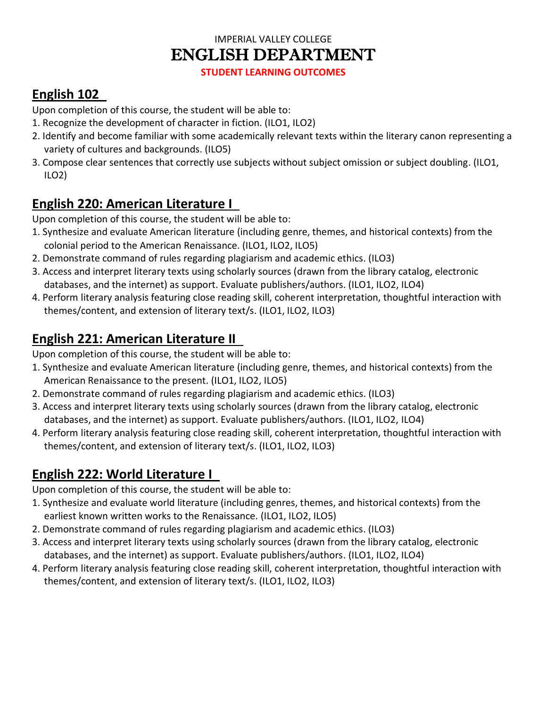#### IMPERIAL VALLEY COLLEGE ENGLISH DEPARTMENT

**STUDENT LEARNING OUTCOMES**

# **English 102**

Upon completion of this course, the student will be able to:

- 1. Recognize the development of character in fiction. (ILO1, ILO2)
- 2. Identify and become familiar with some academically relevant texts within the literary canon representing a variety of cultures and backgrounds. (ILO5)
- 3. Compose clear sentences that correctly use subjects without subject omission or subject doubling. (ILO1, ILO2)

#### **English 220: American Literature I**

Upon completion of this course, the student will be able to:

- 1. Synthesize and evaluate American literature (including genre, themes, and historical contexts) from the colonial period to the American Renaissance. (ILO1, ILO2, ILO5)
- 2. Demonstrate command of rules regarding plagiarism and academic ethics. (ILO3)
- 3. Access and interpret literary texts using scholarly sources (drawn from the library catalog, electronic databases, and the internet) as support. Evaluate publishers/authors. (ILO1, ILO2, ILO4)
- 4. Perform literary analysis featuring close reading skill, coherent interpretation, thoughtful interaction with themes/content, and extension of literary text/s. (ILO1, ILO2, ILO3)

# **English 221: American Literature II**

Upon completion of this course, the student will be able to:

- 1. Synthesize and evaluate American literature (including genre, themes, and historical contexts) from the American Renaissance to the present. (ILO1, ILO2, ILO5)
- 2. Demonstrate command of rules regarding plagiarism and academic ethics. (ILO3)
- 3. Access and interpret literary texts using scholarly sources (drawn from the library catalog, electronic databases, and the internet) as support. Evaluate publishers/authors. (ILO1, ILO2, ILO4)
- 4. Perform literary analysis featuring close reading skill, coherent interpretation, thoughtful interaction with themes/content, and extension of literary text/s. (ILO1, ILO2, ILO3)

# **English 222: World Literature I**

Upon completion of this course, the student will be able to:

- 1. Synthesize and evaluate world literature (including genres, themes, and historical contexts) from the earliest known written works to the Renaissance. (ILO1, ILO2, ILO5)
- 2. Demonstrate command of rules regarding plagiarism and academic ethics. (ILO3)
- 3. Access and interpret literary texts using scholarly sources (drawn from the library catalog, electronic databases, and the internet) as support. Evaluate publishers/authors. (ILO1, ILO2, ILO4)
- 4. Perform literary analysis featuring close reading skill, coherent interpretation, thoughtful interaction with themes/content, and extension of literary text/s. (ILO1, ILO2, ILO3)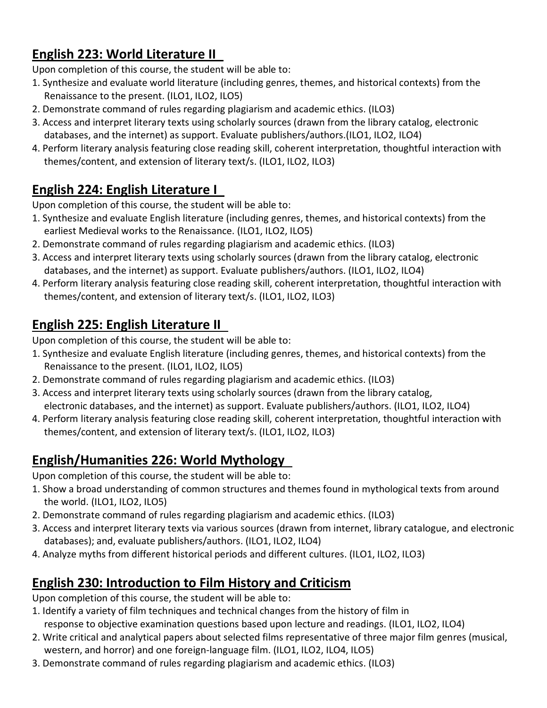## **English 223: World Literature II**

Upon completion of this course, the student will be able to:

- 1. Synthesize and evaluate world literature (including genres, themes, and historical contexts) from the Renaissance to the present. (ILO1, ILO2, ILO5)
- 2. Demonstrate command of rules regarding plagiarism and academic ethics. (ILO3)
- 3. Access and interpret literary texts using scholarly sources (drawn from the library catalog, electronic databases, and the internet) as support. Evaluate publishers/authors.(ILO1, ILO2, ILO4)
- 4. Perform literary analysis featuring close reading skill, coherent interpretation, thoughtful interaction with themes/content, and extension of literary text/s. (ILO1, ILO2, ILO3)

## **English 224: English Literature I**

Upon completion of this course, the student will be able to:

- 1. Synthesize and evaluate English literature (including genres, themes, and historical contexts) from the earliest Medieval works to the Renaissance. (ILO1, ILO2, ILO5)
- 2. Demonstrate command of rules regarding plagiarism and academic ethics. (ILO3)
- 3. Access and interpret literary texts using scholarly sources (drawn from the library catalog, electronic databases, and the internet) as support. Evaluate publishers/authors. (ILO1, ILO2, ILO4)
- 4. Perform literary analysis featuring close reading skill, coherent interpretation, thoughtful interaction with themes/content, and extension of literary text/s. (ILO1, ILO2, ILO3)

## **English 225: English Literature II**

Upon completion of this course, the student will be able to:

- 1. Synthesize and evaluate English literature (including genres, themes, and historical contexts) from the Renaissance to the present. (ILO1, ILO2, ILO5)
- 2. Demonstrate command of rules regarding plagiarism and academic ethics. (ILO3)
- 3. Access and interpret literary texts using scholarly sources (drawn from the library catalog, electronic databases, and the internet) as support. Evaluate publishers/authors. (ILO1, ILO2, ILO4)
- 4. Perform literary analysis featuring close reading skill, coherent interpretation, thoughtful interaction with themes/content, and extension of literary text/s. (ILO1, ILO2, ILO3)

#### **English/Humanities 226: World Mythology**

Upon completion of this course, the student will be able to:

- 1. Show a broad understanding of common structures and themes found in mythological texts from around the world. (ILO1, ILO2, ILO5)
- 2. Demonstrate command of rules regarding plagiarism and academic ethics. (ILO3)
- 3. Access and interpret literary texts via various sources (drawn from internet, library catalogue, and electronic databases); and, evaluate publishers/authors. (ILO1, ILO2, ILO4)
- 4. Analyze myths from different historical periods and different cultures. (ILO1, ILO2, ILO3)

#### **English 230: Introduction to Film History and Criticism**

Upon completion of this course, the student will be able to:

- 1. Identify a variety of film techniques and technical changes from the history of film in response to objective examination questions based upon lecture and readings. (ILO1, ILO2, ILO4)
- 2. Write critical and analytical papers about selected films representative of three major film genres (musical, western, and horror) and one foreign-language film. (ILO1, ILO2, ILO4, ILO5)
- 3. Demonstrate command of rules regarding plagiarism and academic ethics. (ILO3)